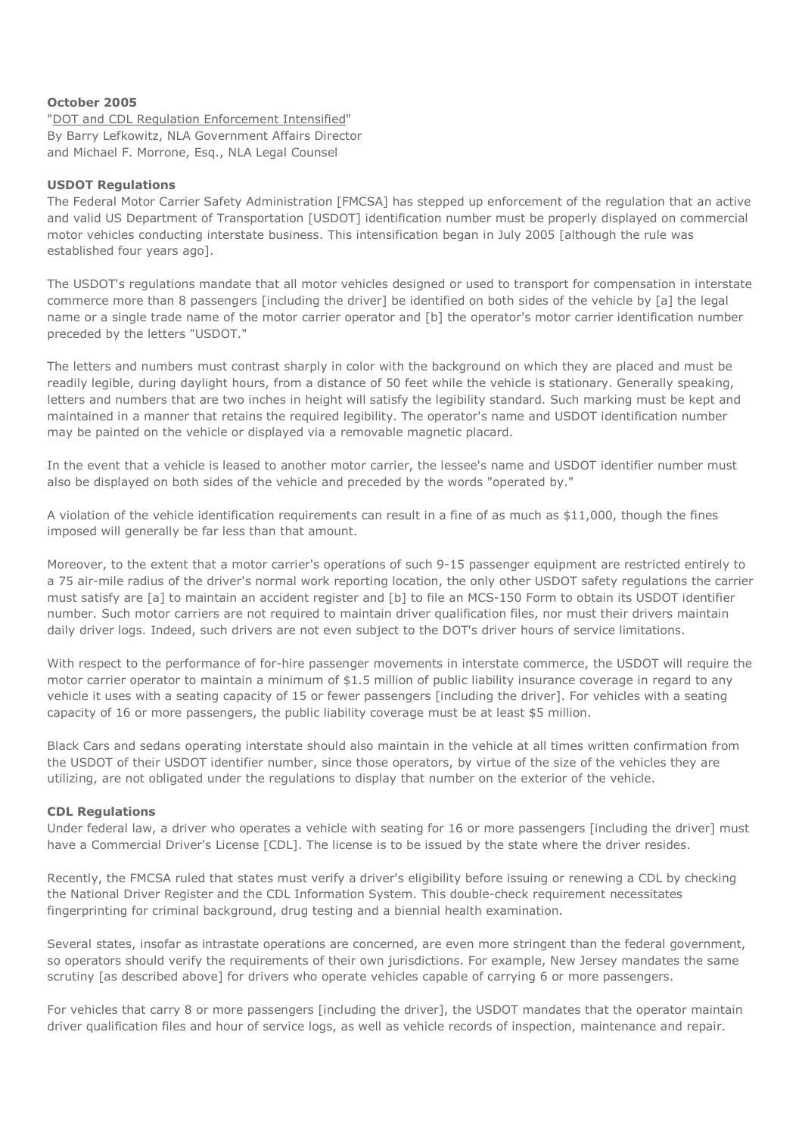## **October 2005**

"DOT and CDL Regulation Enforcement Intensified" By Barry Lefkowitz, NLA Government Affairs Director and Michael F. Morrone, Esq., NLA Legal Counsel

## **USDOT Regulations**

The Federal Motor Carrier Safety Administration [FMCSA] has stepped up enforcement of the regulation that an active and valid US Department of Transportation [USDOT] identification number must be properly displayed on commercial motor vehicles conducting interstate business. This intensification began in July 2005 [although the rule was established four years ago].

The USDOT's regulations mandate that all motor vehicles designed or used to transport for compensation in interstate commerce more than 8 passengers [including the driver] be identified on both sides of the vehicle by [a] the legal name or a single trade name of the motor carrier operator and [b] the operator's motor carrier identification number preceded by the letters "USDOT."

The letters and numbers must contrast sharply in color with the background on which they are placed and must be readily legible, during daylight hours, from a distance of 50 feet while the vehicle is stationary. Generally speaking, letters and numbers that are two inches in height will satisfy the legibility standard. Such marking must be kept and maintained in a manner that retains the required legibility. The operator's name and USDOT identification number may be painted on the vehicle or displayed via a removable magnetic placard.

In the event that a vehicle is leased to another motor carrier, the lessee's name and USDOT identifier number must also be displayed on both sides of the vehicle and preceded by the words "operated by."

A violation of the vehicle identification requirements can result in a fine of as much as \$11,000, though the fines imposed will generally be far less than that amount.

Moreover, to the extent that a motor carrier's operations of such 9-15 passenger equipment are restricted entirely to a 75 air-mile radius of the driver's normal work reporting location, the only other USDOT safety regulations the carrier must satisfy are [a] to maintain an accident register and [b] to file an MCS-150 Form to obtain its USDOT identifier number. Such motor carriers are not required to maintain driver qualification files, nor must their drivers maintain daily driver logs. Indeed, such drivers are not even subject to the DOT's driver hours of service limitations.

With respect to the performance of for-hire passenger movements in interstate commerce, the USDOT will require the motor carrier operator to maintain a minimum of \$1.5 million of public liability insurance coverage in regard to any vehicle it uses with a seating capacity of 15 or fewer passengers [including the driver]. For vehicles with a seating capacity of 16 or more passengers, the public liability coverage must be at least \$5 million.

Black Cars and sedans operating interstate should also maintain in the vehicle at all times written confirmation from the USDOT of their USDOT identifier number, since those operators, by virtue of the size of the vehicles they are utilizing, are not obligated under the regulations to display that number on the exterior of the vehicle.

## **CDL Regulations**

Under federal law, a driver who operates a vehicle with seating for 16 or more passengers [including the driver] must have a Commercial Driver's License [CDL]. The license is to be issued by the state where the driver resides.

Recently, the FMCSA ruled that states must verify a driver's eligibility before issuing or renewing a CDL by checking the National Driver Register and the CDL Information System. This double-check requirement necessitates fingerprinting for criminal background, drug testing and a biennial health examination.

Several states, insofar as intrastate operations are concerned, are even more stringent than the federal government, so operators should verify the requirements of their own jurisdictions. For example, New Jersey mandates the same scrutiny [as described above] for drivers who operate vehicles capable of carrying 6 or more passengers.

For vehicles that carry 8 or more passengers [including the driver], the USDOT mandates that the operator maintain driver qualification files and hour of service logs, as well as vehicle records of inspection, maintenance and repair.